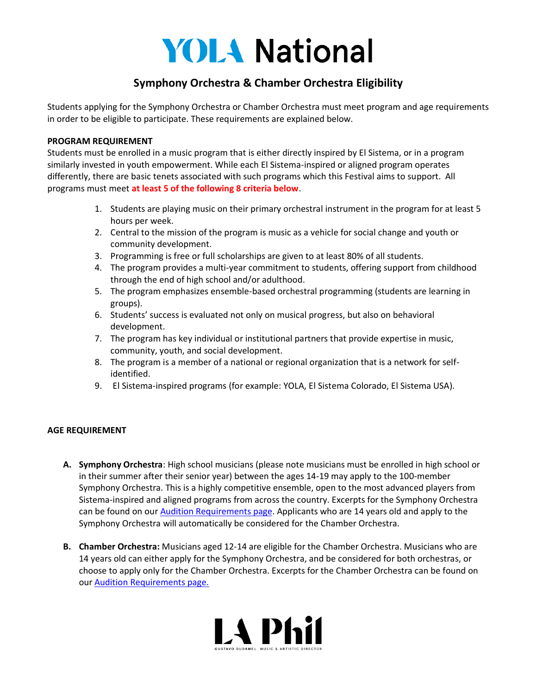# **YOLA National**

## **Symphony Orchestra & Chamber Orchestra Eligibility**

Students applying for the Symphony Orchestra or Chamber Orchestra must meet program and age requirements in order to be eligible to participate. These requirements are explained below.

#### **PROGRAM REQUIREMENT**

Students must be enrolled in a music program that is either directly inspired by El Sistema, or in a program similarly invested in youth empowerment. While each El Sistema-inspired or aligned program operates differently, there are basic tenets associated with such programs which this Festival aims to support. All programs must meet **at least 5 of the following 8 criteria below**.

- 1. Students are playing music on their primary orchestral instrument in the program for at least 5 hours per week.
- 2. Central to the mission of the program is music as a vehicle for social change and youth or community development.
- 3. Programming is free or full scholarships are given to at least 80% of all students.
- 4. The program provides a multi-year commitment to students, offering support from childhood through the end of high school and/or adulthood.
- 5. The program emphasizes ensemble-based orchestral programming (students are learning in groups).
- 6. Students' success is evaluated not only on musical progress, but also on behavioral development.
- 7. The program has key individual or institutional partners that provide expertise in music, community, youth, and social development.
- 8. The program is a member of a national or regional organization that is a network for selfidentified.
- 9. El Sistema-inspired programs (for example: YOLA, El Sistema Colorado, El Sistema USA).

### **AGE REQUIREMENT**

- **A. Symphony Orchestra**: High school musicians (please note musicians must be enrolled in high school or in their summer after their senior year) between the ages 14-19 may apply to the 100-member Symphony Orchestra. This is a highly competitive ensemble, open to the most advanced players from Sistema-inspired and aligned programs from across the country. Excerpts for the Symphony Orchestra can be found on our [Audition Requirements page.](https://www.laphil.com/learn/yola/yola-national-festival/ynf-audition-requirements) Applicants who are 14 years old and apply to the Symphony Orchestra will automatically be considered for the Chamber Orchestra.
- **B. Chamber Orchestra:** Musicians aged 12-14 are eligible for the Chamber Orchestra. Musicians who are 14 years old can either apply for the Symphony Orchestra, and be considered for both orchestras, or choose to apply only for the Chamber Orchestra. Excerpts for the Chamber Orchestra can be found on our [Audition Requirements page.](https://www.laphil.com/learn/yola/yola-national-festival/ynf-audition-requirements)